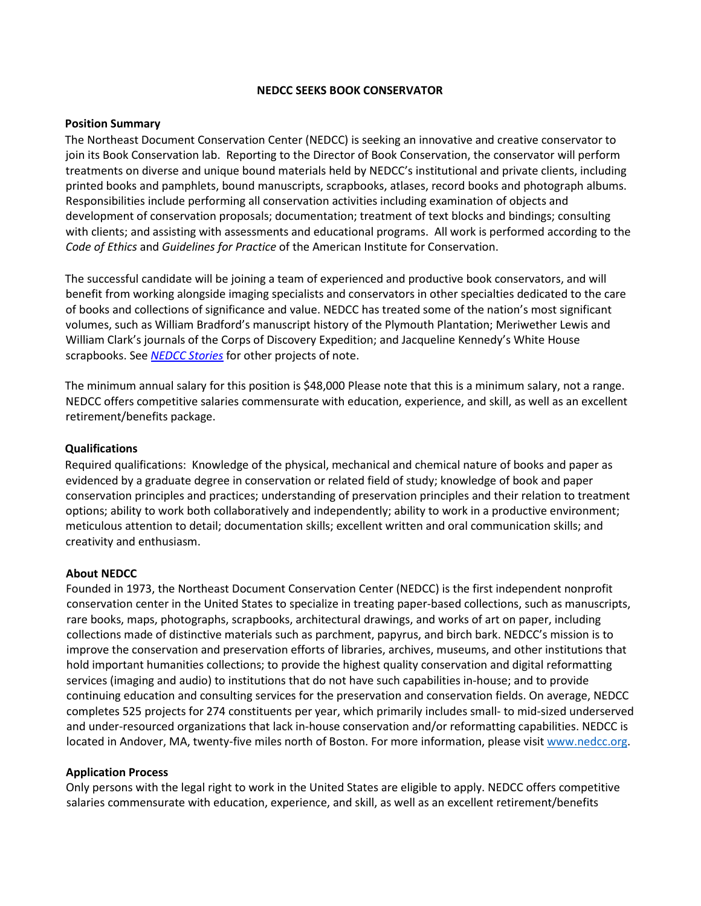# **NEDCC SEEKS BOOK CONSERVATOR**

# **Position Summary**

The Northeast Document Conservation Center (NEDCC) is seeking an innovative and creative conservator to join its Book Conservation lab. Reporting to the Director of Book Conservation, the conservator will perform treatments on diverse and unique bound materials held by NEDCC's institutional and private clients, including printed books and pamphlets, bound manuscripts, scrapbooks, atlases, record books and photograph albums. Responsibilities include performing all conservation activities including examination of objects and development of conservation proposals; documentation; treatment of text blocks and bindings; consulting with clients; and assisting with assessments and educational programs. All work is performed according to the *Code of Ethics* and *Guidelines for Practice* of the American Institute for Conservation.

The successful candidate will be joining a team of experienced and productive book conservators, and will benefit from working alongside imaging specialists and conservators in other specialties dedicated to the care of books and collections of significance and value. NEDCC has treated some of the nation's most significant volumes, such as William Bradford's manuscript history of the Plymouth Plantation; Meriwether Lewis and William Clark's journals of the Corps of Discovery Expedition; and Jacqueline Kennedy's White House scrapbooks. See *[NEDCC Stories](https://www.nedcc.org/about/nedcc-stories/)* [f](https://www.nedcc.org/about/nedcc-stories/)or other projects of note.

The minimum annual salary for this position is \$48,000 Please note that this is a minimum salary, not a range. NEDCC offers competitive salaries commensurate with education, experience, and skill, as well as an excellent retirement/benefits package.

# **Qualifications**

Required qualifications: Knowledge of the physical, mechanical and chemical nature of books and paper as evidenced by a graduate degree in conservation or related field of study; knowledge of book and paper conservation principles and practices; understanding of preservation principles and their relation to treatment options; ability to work both collaboratively and independently; ability to work in a productive environment; meticulous attention to detail; documentation skills; excellent written and oral communication skills; and creativity and enthusiasm.

## **About NEDCC**

Founded in 1973, the Northeast Document Conservation Center (NEDCC) is the first independent nonprofit conservation center in the United States to specialize in treating paper-based collections, such as manuscripts, rare books, maps, photographs, scrapbooks, architectural drawings, and works of art on paper, including collections made of distinctive materials such as parchment, papyrus, and birch bark. NEDCC's mission is to improve the conservation and preservation efforts of libraries, archives, museums, and other institutions that hold important humanities collections; to provide the highest quality conservation and digital reformatting services (imaging and audio) to institutions that do not have such capabilities in-house; and to provide continuing education and consulting services for the preservation and conservation fields. On average, NEDCC completes 525 projects for 274 constituents per year, which primarily includes small- to mid-sized underserved and under-resourced organizations that lack in-house conservation and/or reformatting capabilities. NEDCC is located in Andover, MA, twenty-five miles north of Boston. For more information, please visit [www.nedcc.org.](http://www.nedcc.org/)

## **Application Process**

Only persons with the legal right to work in the United States are eligible to apply. NEDCC offers competitive salaries commensurate with education, experience, and skill, as well as an excellent retirement/benefits